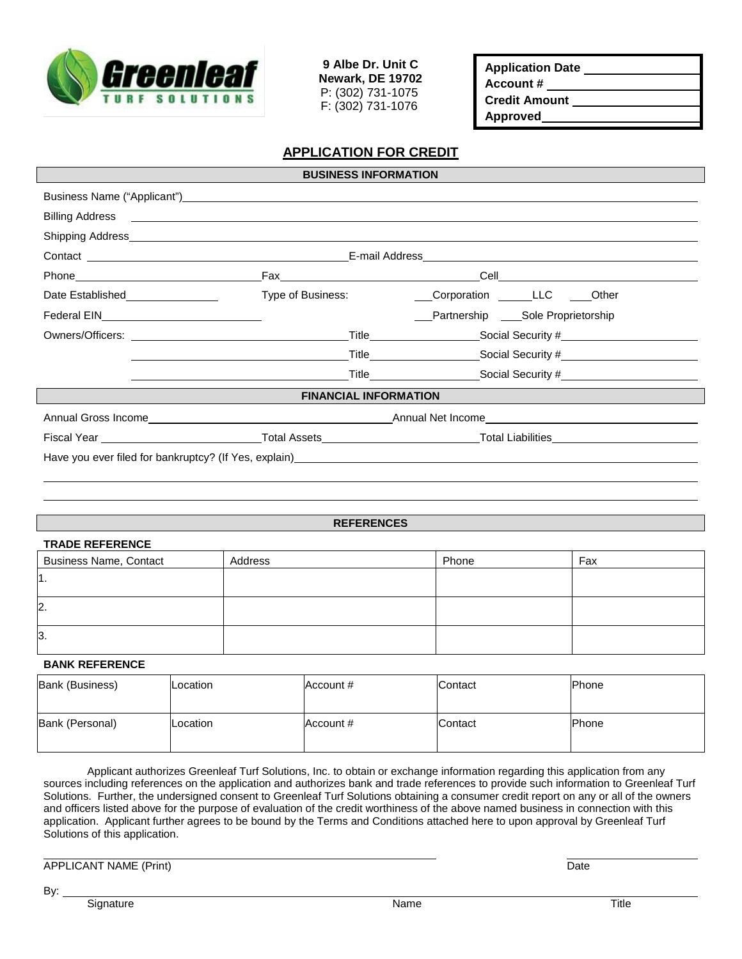

**9 Albe Dr. Unit C Newark, DE 19702** P: (302) 731-1075 F: (302) 731-1076

| <b>Application Date</b> |  |
|-------------------------|--|
| Account #               |  |
| <b>Credit Amount</b>    |  |
| <b>Approved</b>         |  |

## **APPLICATION FOR CREDIT**

| <b>BUSINESS INFORMATION</b>                                                                                    |                                                                                                                      |                                                                                  |  |  |  |
|----------------------------------------------------------------------------------------------------------------|----------------------------------------------------------------------------------------------------------------------|----------------------------------------------------------------------------------|--|--|--|
|                                                                                                                |                                                                                                                      |                                                                                  |  |  |  |
|                                                                                                                |                                                                                                                      |                                                                                  |  |  |  |
|                                                                                                                |                                                                                                                      |                                                                                  |  |  |  |
|                                                                                                                |                                                                                                                      |                                                                                  |  |  |  |
| Phone 2008 2010 2010 2021 2022 2023 2024 2022 2023 2024 2022 2023 2024 2022 2023 2024 2025 2026 2027 2028 2021 |                                                                                                                      |                                                                                  |  |  |  |
| Date Established <b>Date Example 1</b> Type of Business:                                                       |                                                                                                                      | Corporation _______________________________Other                                 |  |  |  |
|                                                                                                                |                                                                                                                      | __Partnership ____Sole Proprietorship                                            |  |  |  |
|                                                                                                                |                                                                                                                      |                                                                                  |  |  |  |
|                                                                                                                | <u> 1989 - Johann Barn, fransk politik amerikansk politik (</u>                                                      | Title_________________________Social Security #_________________________________ |  |  |  |
|                                                                                                                | <u> Alexandria de la contrada de la contrada de la contrada de la contrada de la contrada de la contrada de la c</u> | Title_____________________________Social Security #_____________________________ |  |  |  |
| <b>FINANCIAL INFORMATION</b>                                                                                   |                                                                                                                      |                                                                                  |  |  |  |
|                                                                                                                |                                                                                                                      |                                                                                  |  |  |  |
|                                                                                                                |                                                                                                                      |                                                                                  |  |  |  |
|                                                                                                                |                                                                                                                      |                                                                                  |  |  |  |
|                                                                                                                |                                                                                                                      |                                                                                  |  |  |  |

#### **REFERENCES**

| <b>TRADE REFERENCE</b>        |         |       |     |  |  |  |
|-------------------------------|---------|-------|-----|--|--|--|
| <b>Business Name, Contact</b> | Address | Phone | Fax |  |  |  |
| l1.                           |         |       |     |  |  |  |
| 2.                            |         |       |     |  |  |  |
| 3.                            |         |       |     |  |  |  |

#### **BANK REFERENCE**

| Bank (Business) | Location | Account # | Contact | <b>Phone</b> |
|-----------------|----------|-----------|---------|--------------|
| Bank (Personal) | Location | Account # | Contact | <b>Phone</b> |

Applicant authorizes Greenleaf Turf Solutions, Inc. to obtain or exchange information regarding this application from any sources including references on the application and authorizes bank and trade references to provide such information to Greenleaf Turf Solutions. Further, the undersigned consent to Greenleaf Turf Solutions obtaining a consumer credit report on any or all of the owners and officers listed above for the purpose of evaluation of the credit worthiness of the above named business in connection with this application. Applicant further agrees to be bound by the Terms and Conditions attached here to upon approval by Greenleaf Turf Solutions of this application.

APPLICANT NAME (Print) Date

By: